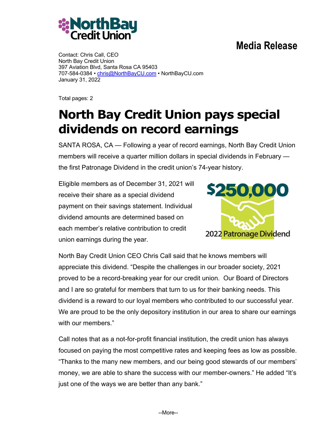## **Media Release**



Contact: Chris Call, CEO North Bay Credit Union 397 Aviation Blvd, Santa Rosa CA 95403 707-584-0384 • chris@NorthBayCU.com • NorthBayCU.com January 31, 2022

Total pages: 2

## **North Bay Credit Union pays special dividends on record earnings**

SANTA ROSA, CA — Following a year of record earnings, North Bay Credit Union members will receive a quarter million dollars in special dividends in February the first Patronage Dividend in the credit union's 74-year history.

Eligible members as of December 31, 2021 will receive their share as a special dividend payment on their savings statement. Individual dividend amounts are determined based on each member's relative contribution to credit union earnings during the year.



North Bay Credit Union CEO Chris Call said that he knows members will appreciate this dividend. "Despite the challenges in our broader society, 2021 proved to be a record-breaking year for our credit union. Our Board of Directors and I are so grateful for members that turn to us for their banking needs. This dividend is a reward to our loyal members who contributed to our successful year. We are proud to be the only depository institution in our area to share our earnings with our members."

Call notes that as a not-for-profit financial institution, the credit union has always focused on paying the most competitive rates and keeping fees as low as possible. "Thanks to the many new members, and our being good stewards of our members' money, we are able to share the success with our member-owners." He added "It's just one of the ways we are better than any bank."